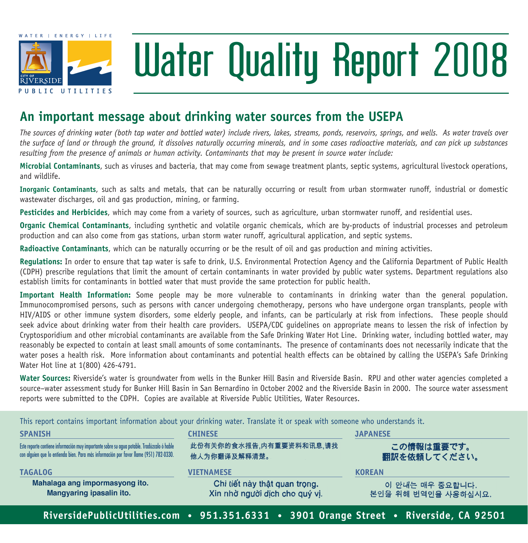

# Water Quality Report 2008

### **An important message about drinking water sources from the usepa**

*The sources of drinking water (both tap water and bottled water) include rivers, lakes, streams, ponds, reservoirs, springs, and wells. As water travels over the surface of land or through the ground, it dissolves naturally occurring minerals, and in some cases radioactive materials, and can pick up substances resulting from the presence of animals or human activity. Contaminants that may be present in source water include:*

**Microbial Contaminants**, such as viruses and bacteria, that may come from sewage treatment plants, septic systems, agricultural livestock operations, and wildlife.

**Inorganic Contaminants**, such as salts and metals, that can be naturally occurring or result from urban stormwater runoff, industrial or domestic wastewater discharges, oil and gas production, mining, or farming.

**Pesticides and Herbicides**, which may come from a variety of sources, such as agriculture, urban stormwater runoff, and residential uses.

**Organic Chemical Contaminants**, including synthetic and volatile organic chemicals, which are by-products of industrial processes and petroleum production and can also come from gas stations, urban storm water runoff, agricultural application, and septic systems.

**Radioactive Contaminants**, which can be naturally occurring or be the result of oil and gas production and mining activities.

**Regulations:** In order to ensure that tap water is safe to drink, U.S. Environmental Protection Agency and the California Department of Public Health (CDPH) prescribe regulations that limit the amount of certain contaminants in water provided by public water systems. Department regulations also establish limits for contaminants in bottled water that must provide the same protection for public health.

**Important Health Information:** Some people may be more vulnerable to contaminants in drinking water than the general population. Immunocompromised persons, such as persons with cancer undergoing chemotherapy, persons who have undergone organ transplants, people with HIV/AIDS or other immune system disorders, some elderly people, and infants, can be particularly at risk from infections. These people should seek advice about drinking water from their health care providers. USEPA/CDC quidelines on appropriate means to lessen the risk of infection by Cryptosporidium and other microbial contaminants are available from the Safe Drinking Water Hot Line. Drinking water, including bottled water, may reasonably be expected to contain at least small amounts of some contaminants. The presence of contaminants does not necessarily indicate that the water poses a health risk. More information about contaminants and potential health effects can be obtained by calling the USEPA's Safe Drinking Water Hot line at 1(800) 426-4791.

**Water Sources:** Riverside's water is groundwater from wells in the Bunker Hill Basin and Riverside Basin. RPU and other water agencies completed a source–water assessment study for Bunker Hill Basin in San Bernardino in October 2002 and the Riverside Basin in 2000. The source water assessment reports were submitted to the CDPH. Copies are available at Riverside Public Utilities, Water Resources.

**Spanish chinese japanese** Este reporte contiene información muy importante sobre su agua potable. Tradúzcalo ó hable 此份有关你的食水报告 内有重要资料和讯息 请找 この情報は重要です。 con alguien que lo entienda bien. Para más información por favor llame (951) 782-0330. 翻訳を依頼してください。 他人为你翻译及解释清楚。 **tagalog vietnamese korean**Mahalaga ang impormasyong ito. Chi tiết này thật quan trong. 이 안내는 매우 중요합니다. Mangyaring ipasalin ito. Xin nhờ người dịch cho quý vị. 본인을 위해 번역인을 사용하십시요. **RiversidePublicUtilities.com • 951.351.6331 • 3901 Orange Street • Riverside, CA 92501**

This report contains important information about your drinking water. Translate it or speak with someone who understands it.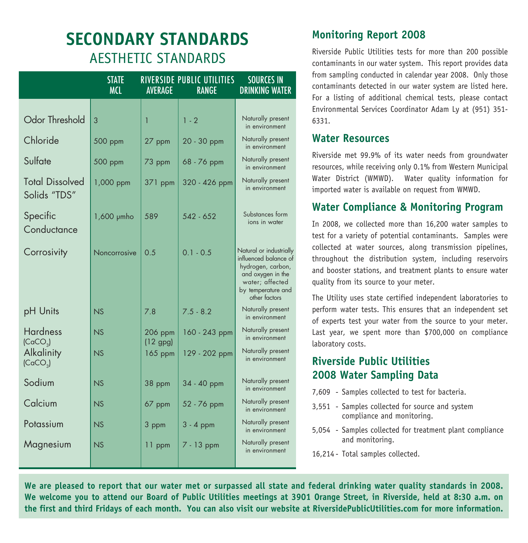## **Secondary Standards** Aesthetic Standards

|                                         | <b>STATE</b><br><b>MCL</b> | AVERAGE               | <b>RIVERSIDE PUBLIC UTILITIES</b><br><b>RANGE</b> | <b>SOURCES IN</b><br><b>DRINKING WATER</b>                                                                                                           |
|-----------------------------------------|----------------------------|-----------------------|---------------------------------------------------|------------------------------------------------------------------------------------------------------------------------------------------------------|
|                                         |                            |                       |                                                   |                                                                                                                                                      |
| Odor Threshold                          | 3                          | 1                     | $1 - 2$                                           | Naturally present<br>in environment                                                                                                                  |
| Chloride                                | 500 ppm                    | 27 ppm                | 20 - 30 ppm                                       | Naturally present<br>in environment                                                                                                                  |
| Sulfate                                 | 500 ppm                    | 73 ppm                | 68 - 76 ppm                                       | Naturally present<br>in environment                                                                                                                  |
| <b>Total Dissolved</b><br>Solids "TDS"  | 1,000 ppm                  | $371$ ppm             | 320 - 426 ppm                                     | Naturally present<br>in environment                                                                                                                  |
| Specific<br>Conductance                 | 1,600 µmho                 | 589                   | $542 - 652$                                       | Substances form<br>ions in water                                                                                                                     |
| Corrosivity                             | Noncorrosive               | 0.5                   | $0.1 - 0.5$                                       | Natural or industrially<br>influenced balance of<br>hydrogen, carbon,<br>and oxygen in the<br>water; affected<br>by temperature and<br>other factors |
| pH Units                                | NS                         | 7.8                   | $7.5 - 8.2$                                       | Naturally present<br>in environment                                                                                                                  |
| <b>Hardness</b><br>(CaCO <sub>3</sub> ) | NS                         | 206 ppm<br>$(12$ gpg) | 160 - 243 ppm                                     | Naturally present<br>in environment                                                                                                                  |
| Alkalinity<br>(CaCO <sub>3</sub> )      | NS                         | 165 ppm               | 129 - 202 ppm                                     | Naturally present<br>in environment                                                                                                                  |
| Sodium                                  | NS                         | 38 ppm                | 34 - 40 ppm                                       | Naturally present<br>in environment                                                                                                                  |
| Calcium                                 | NS                         | 67 ppm                | 52 - 76 ppm                                       | Naturally present<br>in environment                                                                                                                  |
| Potassium                               | NS                         | 3 ppm                 | $3 - 4$ ppm                                       | Naturally present<br>in environment                                                                                                                  |
| Magnesium                               | NS                         | $11$ ppm              | 7 - 13 ppm                                        | Naturally present<br>in environment                                                                                                                  |
|                                         |                            |                       |                                                   |                                                                                                                                                      |

#### **Monitoring Report 2008**

Riverside Public Utilities tests for more than 200 possible contaminants in our water system. This report provides data from sampling conducted in calendar year 2008. Only those contaminants detected in our water system are listed here. For a listing of additional chemical tests, please contact Environmental Services Coordinator Adam Ly at (951) 351- 6331.

#### **Water Resources**

Riverside met 99.9% of its water needs from groundwater resources, while receiving only 0.1% from Western Municipal Water District (WMWD). Water quality information for imported water is available on request from WMWD.

#### **Water Compliance & Monitoring Program**

In 2008, we collected more than 16,200 water samples to test for a variety of potential contaminants. Samples were collected at water sources, along transmission pipelines, throughout the distribution system, including reservoirs and booster stations, and treatment plants to ensure water quality from its source to your meter.

The Utility uses state certified independent laboratories to perform water tests. This ensures that an independent set of experts test your water from the source to your meter. Last year, we spent more than \$700,000 on compliance laboratory costs.

#### **Riverside Public Utilities 2008 Water Sampling Data**

- 7,609 Samples collected to test for bacteria.
- 3,551 Samples collected for source and system compliance and monitoring.
- 5,054 Samples collected for treatment plant compliance and monitoring.

16,214 - Total samples collected.

**We are pleased to report that our water met or surpassed all state and federal drinking water quality standards in 2008. We welcome you to attend our Board of Public Utilities meetings at 3901 Orange Street, in Riverside, held at 8:30 a.m. on the first and third Fridays of each month. You can also visit our website at RiversidePublicUtilities.com for more information.**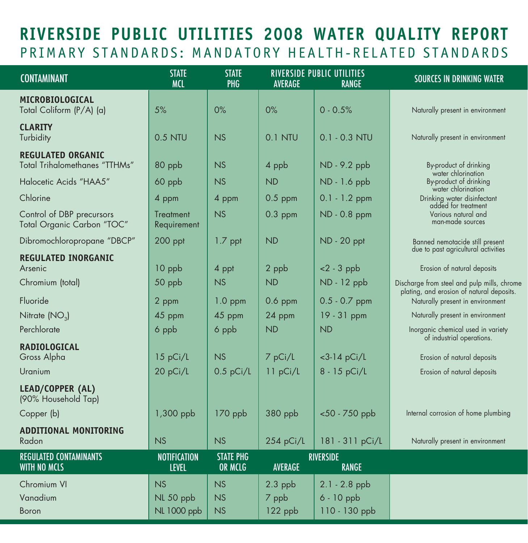## **Riverside Public Utilities 2008 Water Quality Report** PRIMARY STANDARDS: MANDATORY HEALTH-RELATED STANDARDS

| <b>CONTAMINANT</b>                                        | <b>STATE</b><br><b>MCL</b>          | <b>STATE</b><br>PHG         | AVERAGE        | <b>RIVERSIDE PUBLIC UTILITIES</b><br><b>RANGE</b> | <b>SOURCES IN DRINKING WATER</b>                                              |
|-----------------------------------------------------------|-------------------------------------|-----------------------------|----------------|---------------------------------------------------|-------------------------------------------------------------------------------|
| MICROBIOLOGICAL                                           |                                     |                             |                |                                                   |                                                                               |
| Total Coliform (P/A) (a)                                  | 5%                                  | $0\%$                       | $0\%$          | $0 - 0.5%$                                        | Naturally present in environment                                              |
| <b>CLARITY</b><br>Turbidity                               | 0.5 NTU                             | NS                          | 0.1 NTU        | $0.1 - 0.3$ NTU                                   | Naturally present in environment                                              |
| <b>REGULATED ORGANIC</b><br>Total Trihalomethanes "TTHMs" | 80 ppb                              | NS                          | 4 ppb          | ND - 9.2 ppb                                      | By-product of drinking                                                        |
| Halocetic Acids "HAA5"                                    | 60 ppb                              | NS                          | <b>ND</b>      | ND - 1.6 ppb                                      | water chlorination<br>By-product of drinking                                  |
| Chlorine                                                  | 4 ppm                               | 4 ppm                       | $0.5$ ppm      | $0.1 - 1.2$ ppm                                   | water chlorination<br>Drinking water disinfectant<br>added for treatment      |
| Control of DBP precursors<br>Total Organic Carbon "TOC"   | <b>Treatment</b><br>Requirement     | <b>NS</b>                   | $0.3$ ppm      | ND - 0.8 ppm                                      | Various natural and<br>man-made sources                                       |
| Dibromochloropropane "DBCP"                               | $200$ ppt                           | 1.7 ppt                     | <b>ND</b>      | <b>ND</b> - 20 ppt                                | Banned nemotacide still present<br>due to past agricultural activities        |
| <b>REGULATED INORGANIC</b><br>Arsenic                     | 10 ppb                              | 4 ppt                       | 2 ppb          | $< 2 - 3$ ppb                                     | Erosion of natural deposits                                                   |
| Chromium (total)                                          | 50 ppb                              | NS                          | <b>ND</b>      | ND - 12 ppb                                       | Discharge from steel and pulp mills, chrome                                   |
| Fluoride                                                  | 2 ppm                               | $1.0$ ppm                   | $0.6$ ppm      | $0.5 - 0.7$ ppm                                   | plating, and erosion of natural deposits.<br>Naturally present in environment |
| Nitrate (NO <sub>3</sub> )                                | 45 ppm                              | 45 ppm                      | 24 ppm         | 19 - 31 ppm                                       | Naturally present in environment                                              |
| Perchlorate                                               | 6 ppb                               | 6 ppb                       | <b>ND</b>      | <b>ND</b>                                         | Inorganic chemical used in variety<br>of industrial operations.               |
| <b>RADIOLOGICAL</b><br>Gross Alpha                        | 15 pCi/L                            | <b>NS</b>                   | 7 pCi/L        | $<$ 3-14 pCi/L                                    | Erosion of natural deposits                                                   |
| Uranium                                                   | 20 pCi/L                            | $0.5$ pCi/L                 | 11 pCi/L       | 8 - 15 pCi/L                                      | Erosion of natural deposits                                                   |
| LEAD/COPPER (AL)<br>(90% Household Tap)                   |                                     |                             |                |                                                   |                                                                               |
| Copper (b)                                                | 1,300 ppb                           | $170$ ppb                   | 380 ppb        | <50 - 750 ppb                                     | Internal corrosion of home plumbing                                           |
| <b>ADDITIONAL MONITORING</b><br>Radon                     | NS                                  | NS                          | 254 pCi/L      | 181 - 311 pCi/L                                   | Naturally present in environment                                              |
| <b>REGULATED CONTAMINANTS</b><br>WITH NO MCLS             | <b>NOTIFICATION</b><br><b>LEVEL</b> | <b>STATE PHG</b><br>OR MCLG | <b>AVERAGE</b> | <b>RIVERSIDE</b><br><b>RANGE</b>                  |                                                                               |
| Chromium VI                                               | NS                                  | NS                          | $2.3$ ppb      | $2.1 - 2.8$ ppb                                   |                                                                               |
| Vanadium                                                  | NL 50 ppb                           | <b>NS</b>                   | 7 ppb          | 6 - 10 ppb                                        |                                                                               |
| Boron                                                     | <b>NL 1000 ppb</b>                  | NS                          | 122 ppb        | 110 - 130 ppb                                     |                                                                               |